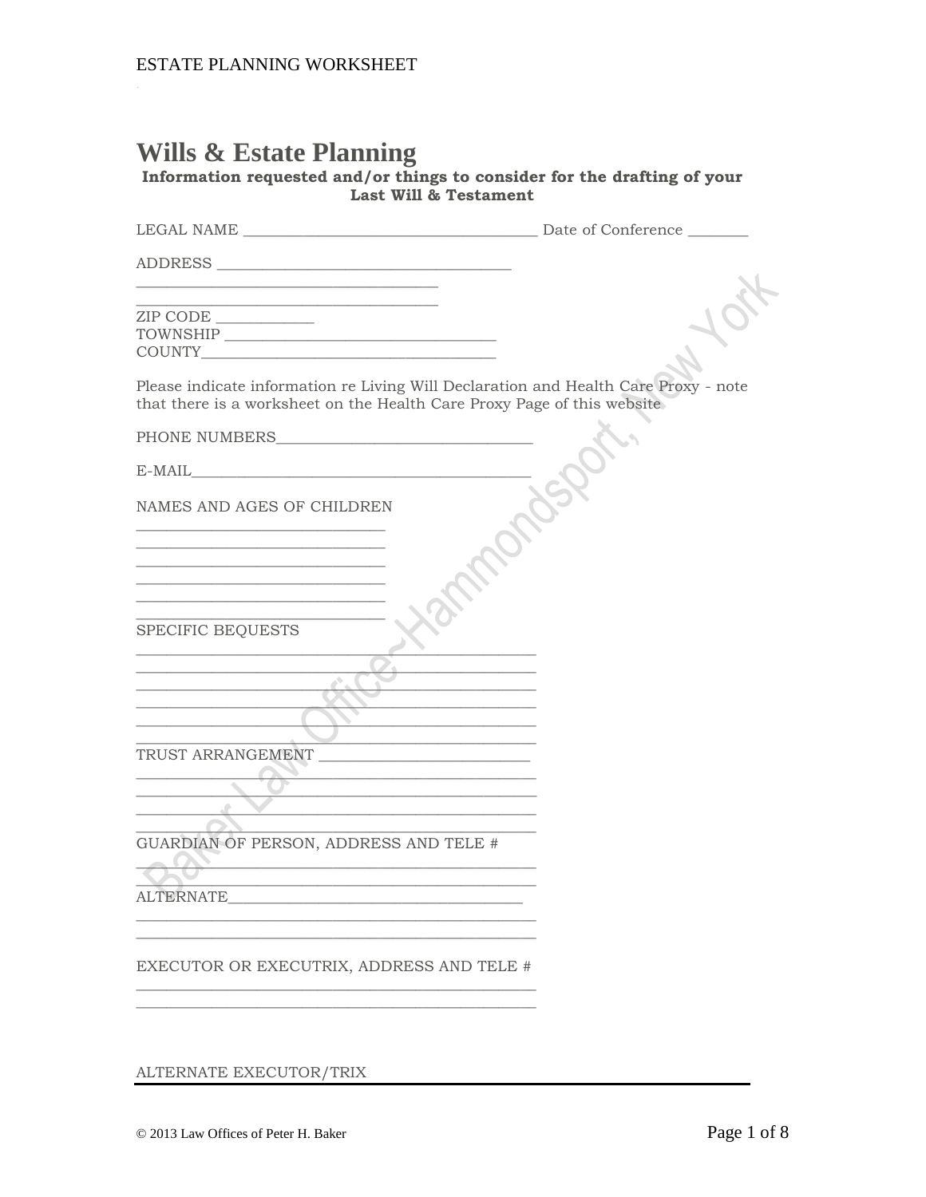# **Wills & Estate Planning**

#### Information requested and/or things to consider for the drafting of your Last Will & Testament

inder

ADDRESS

| ZIP CODE |  |
|----------|--|
| TOWNSHIP |  |
| COUNTY   |  |
|          |  |

Please indicate information re Living Will Declaration and Health Care Proxy - note that there is a worksheet on the Health Care Proxy Page of this website

PHONE NUMBERS

E-MAIL

NAMES AND AGES OF CHILDREN

SPECIFIC BEQUESTS

TRUST ARRANGEMENT

J.

GUARDIAN OF PERSON, ADDRESS AND TELE #

**ALTERNATE** 

#### EXECUTOR OR EXECUTRIX, ADDRESS AND TELE #

ALTERNATE EXECUTOR/TRIX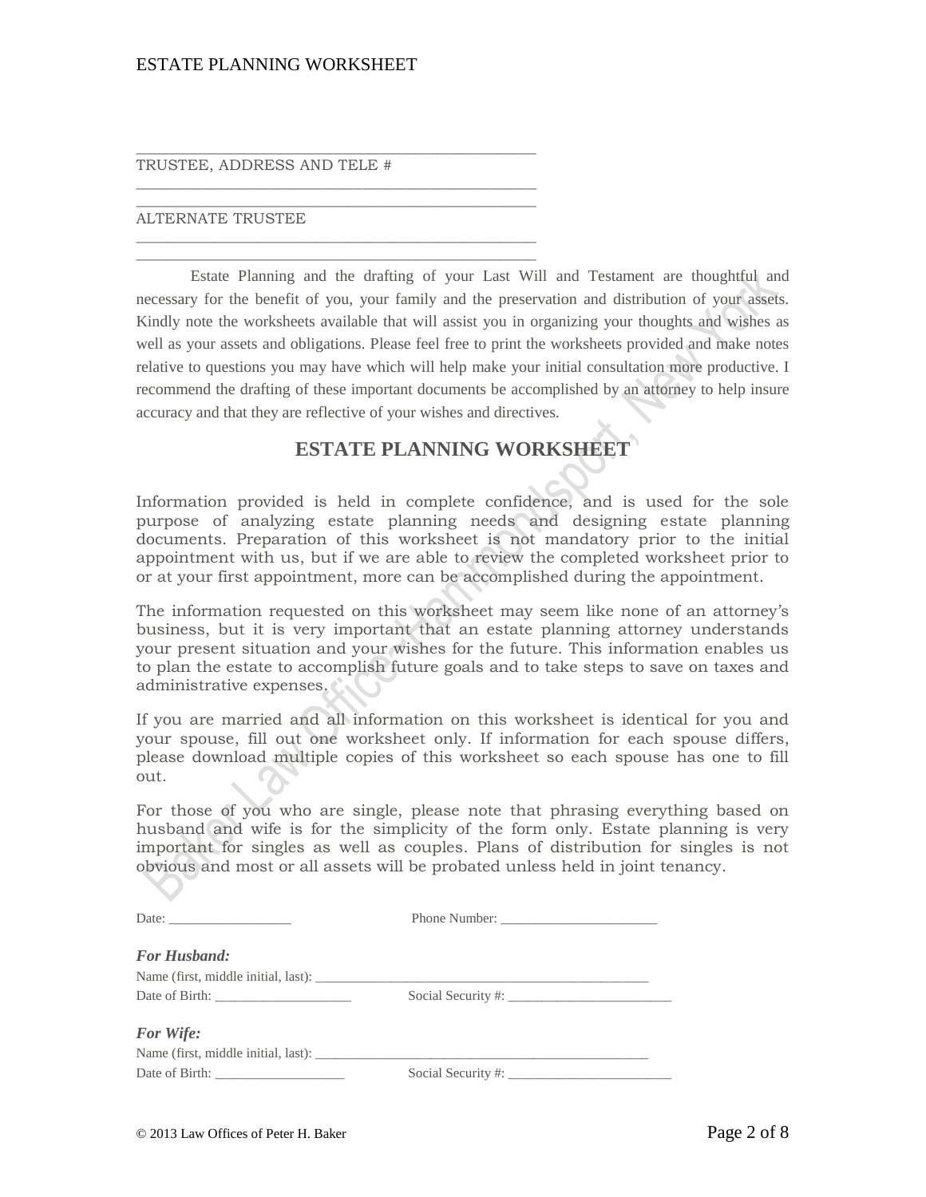TRUSTEE, ADDRESS AND TELE #

\_\_\_\_\_\_\_\_\_\_\_\_\_\_\_\_\_\_\_\_\_\_\_\_\_\_\_\_\_\_\_\_\_\_\_\_\_\_\_\_\_\_\_\_\_\_\_\_\_\_\_\_\_

\_\_\_\_\_\_\_\_\_\_\_\_\_\_\_\_\_\_\_\_\_\_\_\_\_\_\_\_\_\_\_\_\_\_\_\_\_\_\_\_\_\_\_\_\_\_\_\_\_\_\_\_\_ \_\_\_\_\_\_\_\_\_\_\_\_\_\_\_\_\_\_\_\_\_\_\_\_\_\_\_\_\_\_\_\_\_\_\_\_\_\_\_\_\_\_\_\_\_\_\_\_\_\_\_\_\_

\_\_\_\_\_\_\_\_\_\_\_\_\_\_\_\_\_\_\_\_\_\_\_\_\_\_\_\_\_\_\_\_\_\_\_\_\_\_\_\_\_\_\_\_\_\_\_\_\_\_\_\_\_ \_\_\_\_\_\_\_\_\_\_\_\_\_\_\_\_\_\_\_\_\_\_\_\_\_\_\_\_\_\_\_\_\_\_\_\_\_\_\_\_\_\_\_\_\_\_\_\_\_\_\_\_\_

#### ALTERNATE TRUSTEE

Estate Planning and the drafting of your Last Will and Testament are thoughtful and necessary for the benefit of you, your family and the preservation and distribution of your assets. Kindly note the worksheets available that will assist you in organizing your thoughts and wishes as well as your assets and obligations. Please feel free to print the worksheets provided and make notes relative to questions you may have which will help make your initial consultation more productive. I recommend the drafting of these important documents be accomplished by an attorney to help insure accuracy and that they are reflective of your wishes and directives.

## **ESTATE PLANNING WORKSHEET**

Information provided is held in complete confidence, and is used for the sole purpose of analyzing estate planning needs and designing estate planning documents. Preparation of this worksheet is not mandatory prior to the initial appointment with us, but if we are able to review the completed worksheet prior to or at your first appointment, more can be accomplished during the appointment.

The information requested on this worksheet may seem like none of an attorney's business, but it is very important that an estate planning attorney understands your present situation and your wishes for the future. This information enables us to plan the estate to accomplish future goals and to take steps to save on taxes and administrative expenses.

If you are married and all information on this worksheet is identical for you and your spouse, fill out one worksheet only. If information for each spouse differs, please download multiple copies of this worksheet so each spouse has one to fill out.

For those of you who are single, please note that phrasing everything based on husband and wife is for the simplicity of the form only. Estate planning is very important for singles as well as couples. Plans of distribution for singles is not obvious and most or all assets will be probated unless held in joint tenancy.

| <b>For Husband:</b> |                    |  |
|---------------------|--------------------|--|
|                     |                    |  |
|                     | Social Security #: |  |
| <b>For Wife:</b>    |                    |  |
|                     |                    |  |
| Date of Birth:      |                    |  |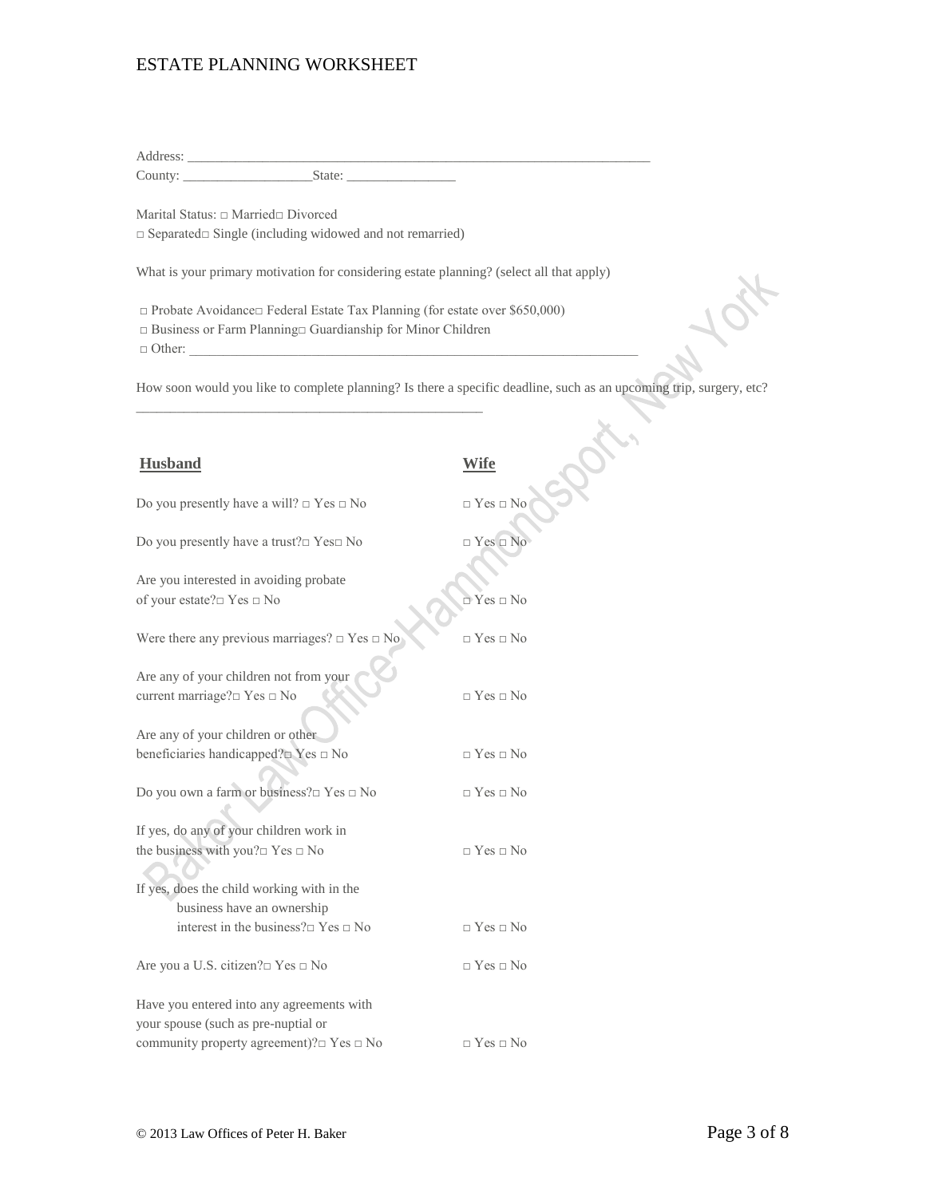|   | $- - -$ |  |
|---|---------|--|
| - |         |  |

Marital Status: □ Married□ Divorced □ Separated□ Single (including widowed and not remarried)

\_\_\_\_\_\_\_\_\_\_\_\_\_\_\_\_\_\_\_\_\_\_\_\_\_\_\_\_\_\_\_\_\_\_\_\_\_\_\_\_\_\_\_\_\_\_\_\_\_\_\_

What is your primary motivation for considering estate planning? (select all that apply)

□ Probate Avoidance□ Federal Estate Tax Planning (for estate over \$650,000) □ Business or Farm Planning□ Guardianship for Minor Children □ Other: \_\_\_\_\_\_\_\_\_\_\_\_\_\_\_\_\_\_\_\_\_\_\_\_\_\_\_\_\_\_\_\_\_\_\_\_\_\_\_\_\_\_\_\_\_\_\_\_\_\_\_\_\_\_\_\_\_\_\_\_\_\_\_\_\_\_

How soon would you like to complete planning? Is there a specific deadline, such as an upcoming trip, surgery, etc?

| <b>Husband</b>                                                                         | Wife                 |
|----------------------------------------------------------------------------------------|----------------------|
| Do you presently have a will? $\square$ Yes $\square$ No                               | $\Box$ Yes $\Box$ No |
| Do you presently have a trust? $\square$ Yes $\square$ No                              | $\Box$ Yes $\Box$ No |
| Are you interested in avoiding probate<br>of your estate? $\square$ Yes $\square$ No   | $\Box$ Yes $\Box$ No |
| Were there any previous marriages? $\square$ Yes $\square$ No                          | $\Box$ Yes $\Box$ No |
| Are any of your children not from your<br>current marriage? $\square$ Yes $\square$ No | $\Box$ Yes $\Box$ No |
| Are any of your children or other                                                      |                      |
| beneficiaries handicapped? $\Box$ Yes $\Box$ No                                        | $\Box$ Yes $\Box$ No |
| Do you own a farm or business? $\square$ Yes $\square$ No                              | $\Box$ Yes $\Box$ No |
| If yes, do any of your children work in                                                |                      |
| the business with you? $\square$ Yes $\square$ No                                      | $\Box$ Yes $\Box$ No |
| If yes, does the child working with in the                                             |                      |
| business have an ownership                                                             |                      |
| interest in the business? $\neg$ Yes $\neg$ No                                         | $\Box$ Yes $\Box$ No |
| Are you a U.S. citizen? $\square$ Yes $\square$ No                                     | $\Box$ Yes $\Box$ No |
| Have you entered into any agreements with<br>your spouse (such as pre-nuptial or       |                      |
| community property agreement)? $\square$ Yes $\square$ No                              | $\Box$ Yes $\Box$ No |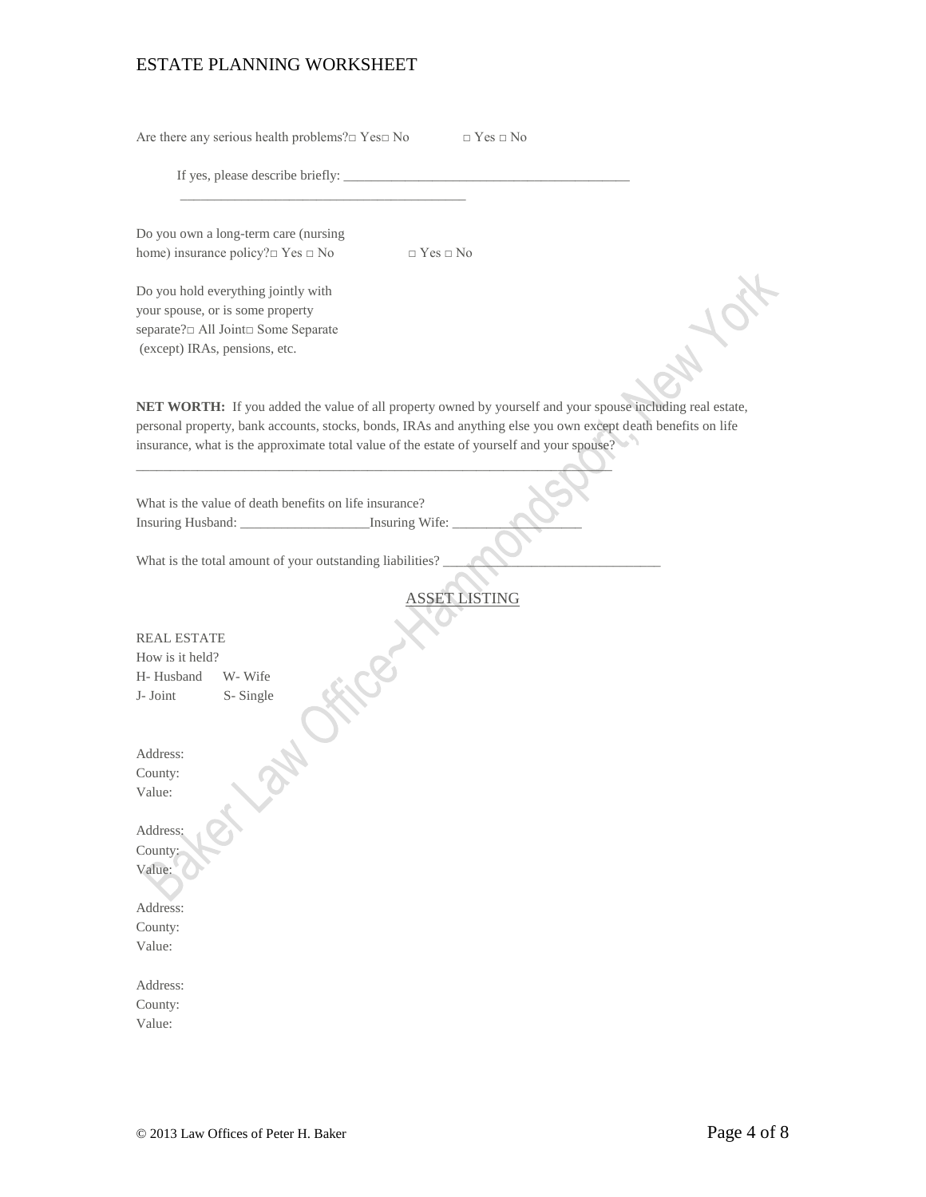| Are there any serious health problems? $\square$ Yes $\square$ No<br>$\Box$ Yes $\Box$ No                                                                                                                                                                                                                                |
|--------------------------------------------------------------------------------------------------------------------------------------------------------------------------------------------------------------------------------------------------------------------------------------------------------------------------|
| If yes, please describe briefly: ____                                                                                                                                                                                                                                                                                    |
| Do you own a long-term care (nursing<br>home) insurance policy? $\square$ Yes $\square$ No<br>$\Box$ Yes $\Box$ No                                                                                                                                                                                                       |
| Do you hold everything jointly with<br>your spouse, or is some property<br>separate?□ All Joint□ Some Separate<br>(except) IRAs, pensions, etc.                                                                                                                                                                          |
| NET WORTH: If you added the value of all property owned by yourself and your spouse including real estate,<br>personal property, bank accounts, stocks, bonds, IRAs and anything else you own except death benefits on life<br>insurance, what is the approximate total value of the estate of yourself and your spouse? |
| What is the value of death benefits on life insurance?                                                                                                                                                                                                                                                                   |
| What is the total amount of your outstanding liabilities?                                                                                                                                                                                                                                                                |
| <b>ASSET LISTING</b>                                                                                                                                                                                                                                                                                                     |
| <b>REAL ESTATE</b><br>How is it held?<br>H- Husband<br>W-Wife<br>S-Single<br>J- Joint                                                                                                                                                                                                                                    |
| Address:<br>County:<br>Value:                                                                                                                                                                                                                                                                                            |
| Address:<br>County:<br>Value:                                                                                                                                                                                                                                                                                            |
| Address:<br>County:                                                                                                                                                                                                                                                                                                      |
| Value:                                                                                                                                                                                                                                                                                                                   |
| Address:<br>County:<br>Value:                                                                                                                                                                                                                                                                                            |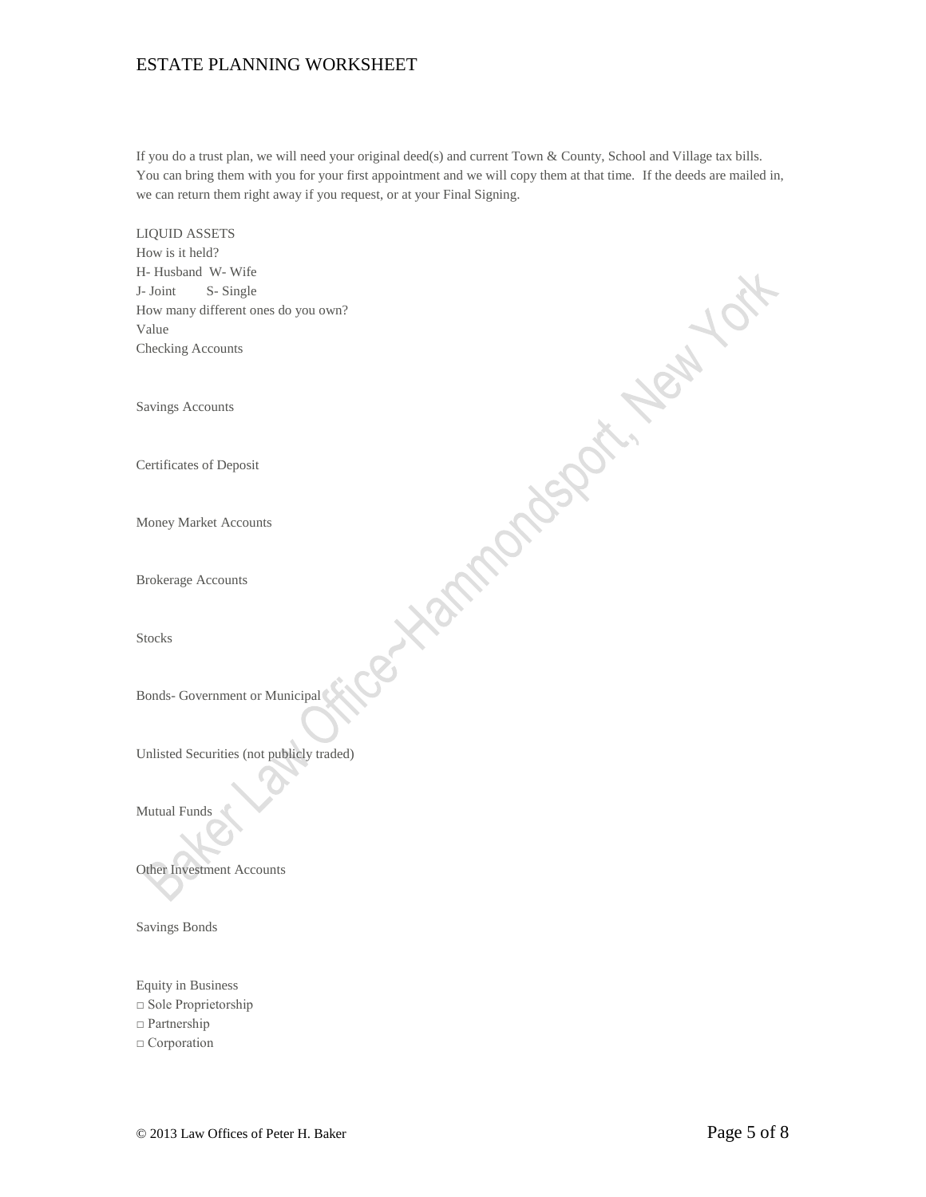If you do a trust plan, we will need your original deed(s) and current Town & County, School and Village tax bills. You can bring them with you for your first appointment and we will copy them at that time. If the deeds are mailed in, we can return them right away if you request, or at your Final Signing.

LIQUID ASSETS How is it held? H- Husband W- Wife J- Joint S- Single Alabu Show many different ones do you own?<br>
The The many different ones do you own?<br>
Savings Accounts<br>
Savings Accounts<br>
Money Market Accounts<br>
Brokerage Accounts<br>
Brokerage Accounts<br>
Slucks<br>
Donds-Government or > Value Checking Accounts

Savings Accounts

Certificates of Deposit

Money Market Accounts

Brokerage Accounts

Stocks

Bonds- Government or Municipal

Unlisted Securities (not publicly traded)

Mutual Funds

Other Investment Accounts

Savings Bonds

Equity in Business □ Sole Proprietorship □ Partnership □ Corporation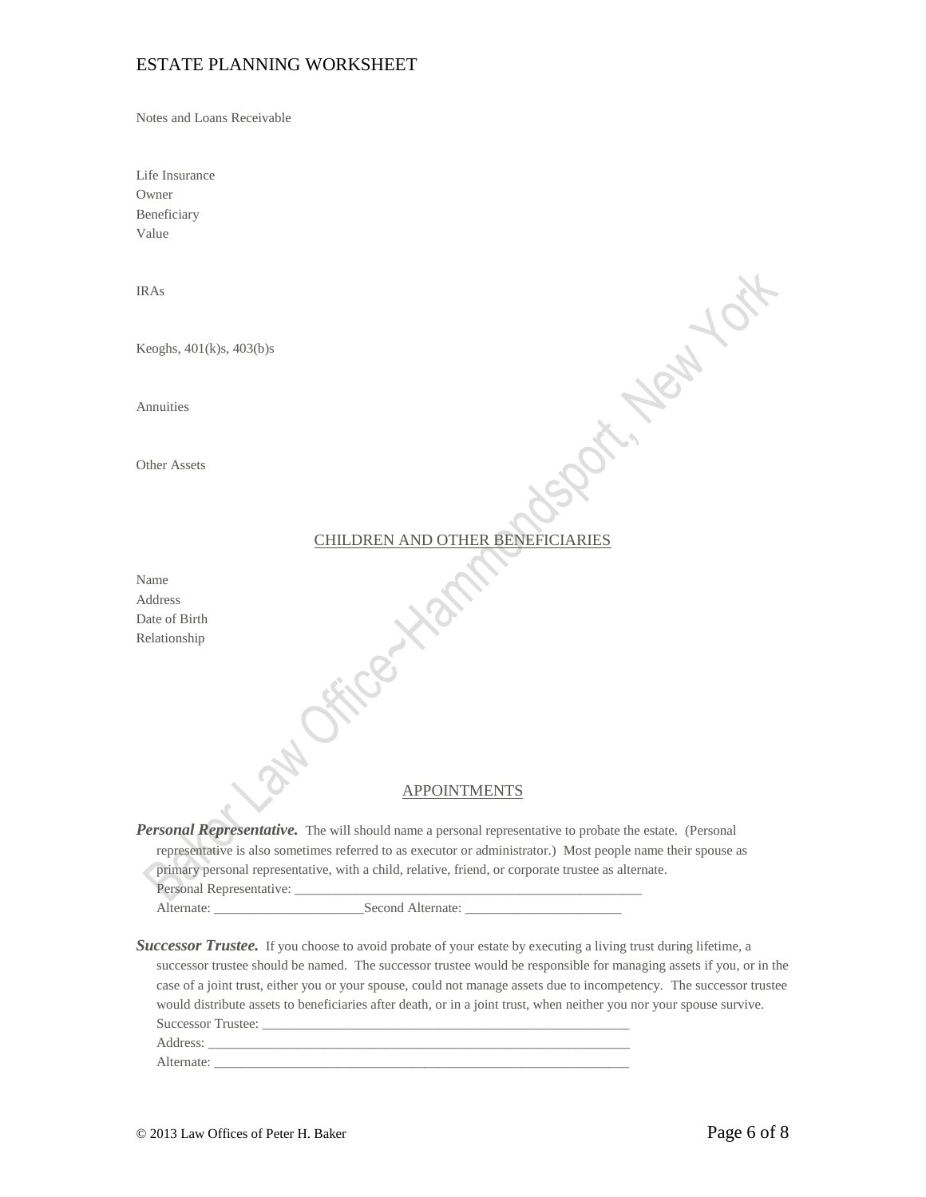Notes and Loans Receivable

Life Insurance Owner Beneficiary Value

IRAs

Keoghs, 401(k)s, 403(b)s

Annuities

Other Assets

#### CHILDREN AND OTHER BENEFICIARIES

Name Address Date of Birth Relationship

#### APPOINTMENTS

*Personal Representative.* The will should name a personal representative to probate the estate. (Personal representative is also sometimes referred to as executor or administrator.) Most people name their spouse as primary personal representative, with a child, relative, friend, or corporate trustee as alternate. Personal Representative: \_\_\_\_\_\_\_\_\_\_\_\_\_\_\_\_\_\_\_\_\_\_\_\_\_\_\_\_\_\_\_\_\_\_\_\_\_\_\_\_\_\_\_\_\_\_\_\_\_\_\_ Alternate: \_\_\_\_\_\_\_\_\_\_\_\_\_\_\_\_\_\_\_\_\_\_Second Alternate: \_\_\_\_\_\_\_\_\_\_\_\_\_\_\_\_\_\_\_\_\_\_\_

*Successor Trustee.* If you choose to avoid probate of your estate by executing a living trust during lifetime, a successor trustee should be named. The successor trustee would be responsible for managing assets if you, or in the case of a joint trust, either you or your spouse, could not manage assets due to incompetency. The successor trustee would distribute assets to beneficiaries after death, or in a joint trust, when neither you nor your spouse survive. Successor Trustee: \_\_\_\_\_\_\_\_\_\_\_\_\_\_\_\_\_\_\_\_\_\_\_\_\_\_\_\_\_\_\_\_\_\_\_\_\_\_\_\_\_\_\_\_\_\_\_\_\_\_\_\_\_\_ Address: \_\_\_\_\_\_\_\_\_\_\_\_\_\_\_\_\_\_\_\_\_\_\_\_\_\_\_\_\_\_\_\_\_\_\_\_\_\_\_\_\_\_\_\_\_\_\_\_\_\_\_\_\_\_\_\_\_\_\_\_\_\_ Alternate:

**OFFICATION**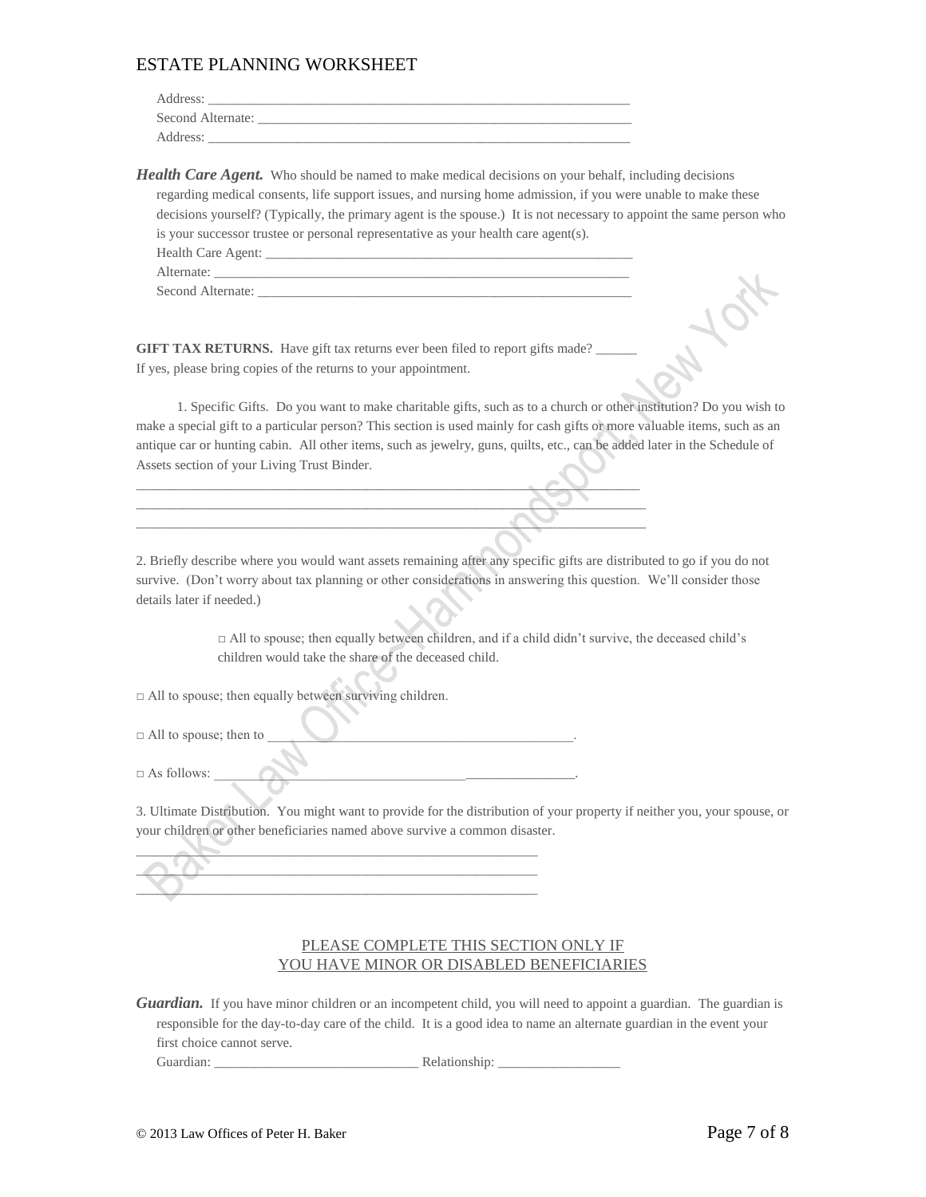| Address:          |
|-------------------|
| Second Alternate: |
| Address:          |

*Health Care Agent.* Who should be named to make medical decisions on your behalf, including decisions regarding medical consents, life support issues, and nursing home admission, if you were unable to make these decisions yourself? (Typically, the primary agent is the spouse.) It is not necessary to appoint the same person who is your successor trustee or personal representative as your health care agent(s). Health Care Agent: Alternate:

Second Alternate:

**GIFT TAX RETURNS.** Have gift tax returns ever been filed to report gifts made? If yes, please bring copies of the returns to your appointment.

\_\_\_\_\_\_\_\_\_\_\_\_\_\_\_\_\_\_\_\_\_\_\_\_\_\_\_\_\_\_\_\_\_\_\_\_\_\_\_\_\_\_\_\_\_\_\_\_\_\_\_\_\_\_\_\_\_\_\_\_\_\_\_\_\_\_\_\_\_\_\_\_\_\_ \_\_\_\_\_\_\_\_\_\_\_\_\_\_\_\_\_\_\_\_\_\_\_\_\_\_\_\_\_\_\_\_\_\_\_\_\_\_\_\_\_\_\_\_\_\_\_\_\_\_\_\_\_\_\_\_\_\_\_\_\_\_\_\_\_\_\_\_\_\_\_\_\_\_\_ \_\_\_\_\_\_\_\_\_\_\_\_\_\_\_\_\_\_\_\_\_\_\_\_\_\_\_\_\_\_\_\_\_\_\_\_\_\_\_\_\_\_\_\_\_\_\_\_\_\_\_\_\_\_\_\_\_\_\_\_\_\_\_\_\_\_\_\_\_\_\_\_\_\_\_

1. Specific Gifts. Do you want to make charitable gifts, such as to a church or other institution? Do you wish to make a special gift to a particular person? This section is used mainly for cash gifts or more valuable items, such as an antique car or hunting cabin. All other items, such as jewelry, guns, quilts, etc., can be added later in the Schedule of Assets section of your Living Trust Binder.

2. Briefly describe where you would want assets remaining after any specific gifts are distributed to go if you do not survive. (Don't worry about tax planning or other considerations in answering this question. We'll consider those details later if needed.)

> $\Box$  All to spouse; then equally between children, and if a child didn't survive, the deceased child's children would take the share of the deceased child.

□ All to spouse; then equally between surviving children.

 $\Box$  All to spouse; then to

 $\square$  As follows:

3. Ultimate Distribution. You might want to provide for the distribution of your property if neither you, your spouse, or your children or other beneficiaries named above survive a common disaster.

 $\longrightarrow$  $\bigtriangleup C$ \_\_\_\_\_\_\_\_\_\_\_\_\_\_\_\_\_\_\_\_\_\_\_\_\_\_\_\_\_\_\_\_\_\_\_\_\_\_\_\_\_\_\_\_\_\_\_\_\_\_\_\_\_\_\_\_\_\_\_

#### PLEASE COMPLETE THIS SECTION ONLY IF YOU HAVE MINOR OR DISABLED BENEFICIARIES

*Guardian.* If you have minor children or an incompetent child, you will need to appoint a guardian. The guardian is responsible for the day-to-day care of the child. It is a good idea to name an alternate guardian in the event your first choice cannot serve.

Guardian: \_\_\_\_\_\_\_\_\_\_\_\_\_\_\_\_\_\_\_\_\_\_\_\_\_\_\_\_\_\_ Relationship: \_\_\_\_\_\_\_\_\_\_\_\_\_\_\_\_\_\_